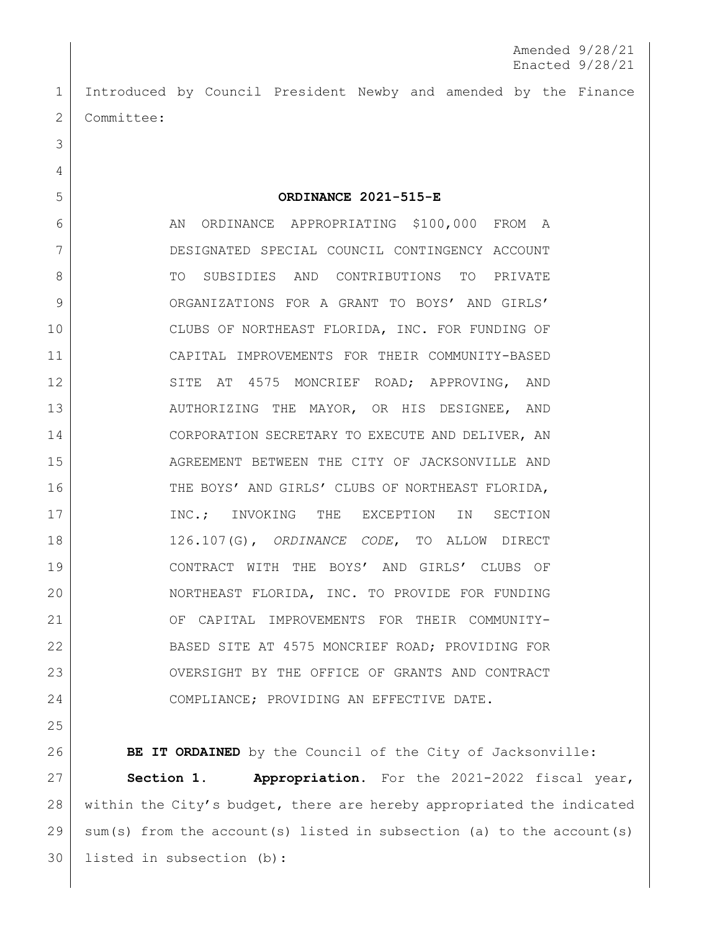1 Introduced by Council President Newby and amended by the Finance 2 | Committee:

5 **ORDINANCE 2021-515-E**

6 AN ORDINANCE APPROPRIATING \$100,000 FROM A 7 DESIGNATED SPECIAL COUNCIL CONTINGENCY ACCOUNT 8 TO SUBSIDIES AND CONTRIBUTIONS TO PRIVATE 9 ORGANIZATIONS FOR A GRANT TO BOYS' AND GIRLS' 10 CLUBS OF NORTHEAST FLORIDA, INC. FOR FUNDING OF 11 CAPITAL IMPROVEMENTS FOR THEIR COMMUNITY-BASED 12 SITE AT 4575 MONCRIEF ROAD; APPROVING, AND 13 AUTHORIZING THE MAYOR, OR HIS DESIGNEE, AND 14 CORPORATION SECRETARY TO EXECUTE AND DELIVER, AN 15 AGREEMENT BETWEEN THE CITY OF JACKSONVILLE AND 16 THE BOYS' AND GIRLS' CLUBS OF NORTHEAST FLORIDA, 17 | INC.; INVOKING THE EXCEPTION IN SECTION 18 126.107(G), *ORDINANCE CODE*, TO ALLOW DIRECT 19 CONTRACT WITH THE BOYS' AND GIRLS' CLUBS OF 20 NORTHEAST FLORIDA, INC. TO PROVIDE FOR FUNDING 21 OF CAPITAL IMPROVEMENTS FOR THEIR COMMUNITY-22 BASED SITE AT 4575 MONCRIEF ROAD; PROVIDING FOR 23 OVERSIGHT BY THE OFFICE OF GRANTS AND CONTRACT 24 COMPLIANCE; PROVIDING AN EFFECTIVE DATE.

25

3

4

**BE IT ORDAINED** by the Council of the City of Jacksonville: **Section 1. Appropriation.** For the 2021-2022 fiscal year, within the City's budget, there are hereby appropriated the indicated sum(s) from the account(s) listed in subsection (a) to the account(s) listed in subsection (b):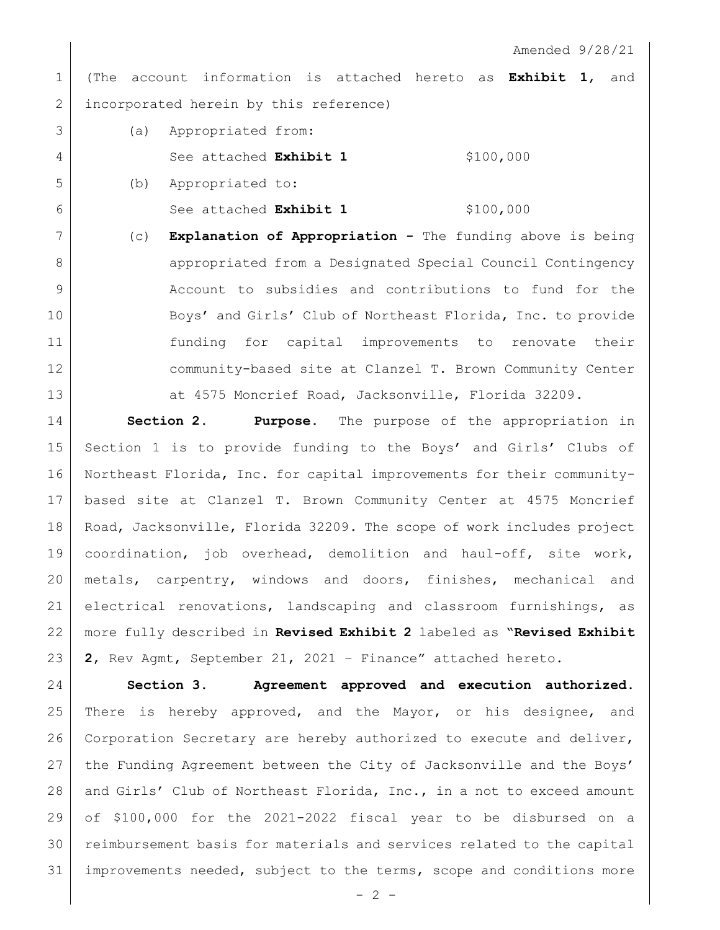Amended 9/28/21

 (The account information is attached hereto as **Exhibit 1**, and 2 incorporated herein by this reference)

 (a) Appropriated from: 4 See attached **Exhibit 1** \$100,000 (b) Appropriated to:

See attached **Exhibit 1** \$100,000

 (c) **Explanation of Appropriation -** The funding above is being **appropriated from a Designated Special Council Contingency**  Account to subsidies and contributions to fund for the 10 Boys' and Girls' Club of Northeast Florida, Inc. to provide funding for capital improvements to renovate their community-based site at Clanzel T. Brown Community Center 13 at 4575 Moncrief Road, Jacksonville, Florida 32209.

 **Section 2. Purpose.** The purpose of the appropriation in Section 1 is to provide funding to the Boys' and Girls' Clubs of Northeast Florida, Inc. for capital improvements for their community- based site at Clanzel T. Brown Community Center at 4575 Moncrief 18 Road, Jacksonville, Florida 32209. The scope of work includes project coordination, job overhead, demolition and haul-off, site work, metals, carpentry, windows and doors, finishes, mechanical and electrical renovations, landscaping and classroom furnishings, as more fully described in **Revised Exhibit 2** labeled as "**Revised Exhibit 2**, Rev Agmt, September 21, 2021 – Finance" attached hereto.

 **Section 3. Agreement approved and execution authorized.** There is hereby approved, and the Mayor, or his designee, and Corporation Secretary are hereby authorized to execute and deliver, the Funding Agreement between the City of Jacksonville and the Boys' 28 and Girls' Club of Northeast Florida, Inc., in a not to exceed amount of \$100,000 for the 2021-2022 fiscal year to be disbursed on a reimbursement basis for materials and services related to the capital improvements needed, subject to the terms, scope and conditions more

 $- 2 -$